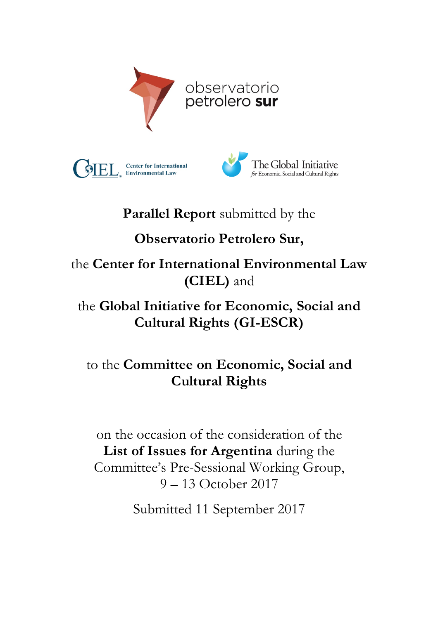





# **Parallel Report** submitted by the

# **Observatorio Petrolero Sur,**

the **Center for International Environmental Law (CIEL)** and

## the **Global Initiative for Economic, Social and Cultural Rights (GI-ESCR)**

## to the **Committee on Economic, Social and Cultural Rights**

on the occasion of the consideration of the **List of Issues for Argentina** during the Committee's Pre-Sessional Working Group, 9 – 13 October 2017

Submitted 11 September 2017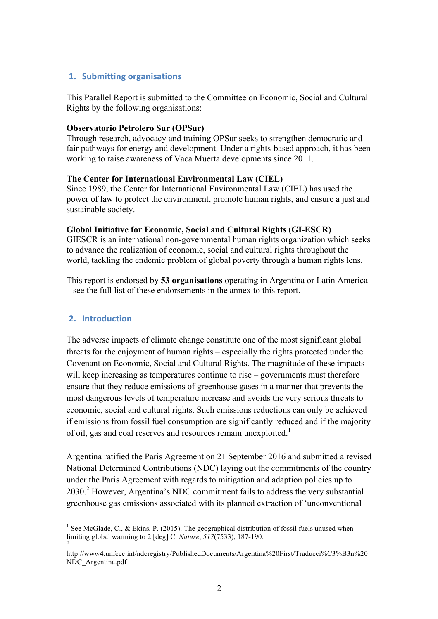## **1. Submitting organisations**

This Parallel Report is submitted to the Committee on Economic, Social and Cultural Rights by the following organisations:

### **Observatorio Petrolero Sur (OPSur)**

Through research, advocacy and training OPSur seeks to strengthen democratic and fair pathways for energy and development. Under a rights-based approach, it has been working to raise awareness of Vaca Muerta developments since 2011.

#### **The Center for International Environmental Law (CIEL)**

Since 1989, the Center for International Environmental Law (CIEL) has used the power of law to protect the environment, promote human rights, and ensure a just and sustainable society.

### **Global Initiative for Economic, Social and Cultural Rights (GI-ESCR)**

GIESCR is an international non-governmental human rights organization which seeks to advance the realization of economic, social and cultural rights throughout the world, tackling the endemic problem of global poverty through a human rights lens.

This report is endorsed by **53 organisations** operating in Argentina or Latin America – see the full list of these endorsements in the annex to this report.

## **2. Introduction**

The adverse impacts of climate change constitute one of the most significant global threats for the enjoyment of human rights – especially the rights protected under the Covenant on Economic, Social and Cultural Rights. The magnitude of these impacts will keep increasing as temperatures continue to rise – governments must therefore ensure that they reduce emissions of greenhouse gases in a manner that prevents the most dangerous levels of temperature increase and avoids the very serious threats to economic, social and cultural rights. Such emissions reductions can only be achieved if emissions from fossil fuel consumption are significantly reduced and if the majority of oil, gas and coal reserves and resources remain unexploited.<sup>1</sup>

Argentina ratified the Paris Agreement on 21 September 2016 and submitted a revised National Determined Contributions (NDC) laying out the commitments of the country under the Paris Agreement with regards to mitigation and adaption policies up to 2030. <sup>2</sup> However, Argentina's NDC commitment fails to address the very substantial greenhouse gas emissions associated with its planned extraction of 'unconventional

<sup>&</sup>lt;sup>1</sup> See McGlade, C., & Ekins, P. (2015). The geographical distribution of fossil fuels unused when limiting global warming to 2 [deg] C. *Nature*, *<sup>517</sup>*(7533), 187-190. <sup>2</sup>

http://www4.unfccc.int/ndcregistry/PublishedDocuments/Argentina%20First/Traducci%C3%B3n%20 NDC\_Argentina.pdf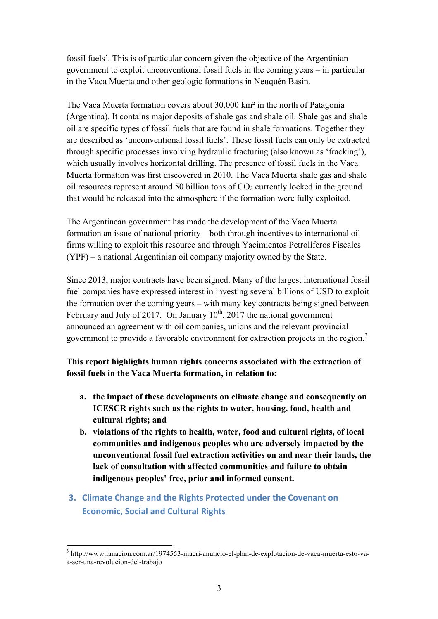fossil fuels'. This is of particular concern given the objective of the Argentinian government to exploit unconventional fossil fuels in the coming years – in particular in the Vaca Muerta and other geologic formations in Neuquén Basin.

The Vaca Muerta formation covers about 30,000 km² in the north of Patagonia (Argentina). It contains major deposits of shale gas and shale oil. Shale gas and shale oil are specific types of fossil fuels that are found in shale formations. Together they are described as 'unconventional fossil fuels'. These fossil fuels can only be extracted through specific processes involving hydraulic fracturing (also known as 'fracking'), which usually involves horizontal drilling. The presence of fossil fuels in the Vaca Muerta formation was first discovered in 2010. The Vaca Muerta shale gas and shale oil resources represent around 50 billion tons of  $CO<sub>2</sub>$  currently locked in the ground that would be released into the atmosphere if the formation were fully exploited.

The Argentinean government has made the development of the Vaca Muerta formation an issue of national priority – both through incentives to international oil firms willing to exploit this resource and through Yacimientos Petrolíferos Fiscales (YPF) – a national Argentinian oil company majority owned by the State.

Since 2013, major contracts have been signed. Many of the largest international fossil fuel companies have expressed interest in investing several billions of USD to exploit the formation over the coming years – with many key contracts being signed between February and July of 2017. On January  $10^{th}$ , 2017 the national government announced an agreement with oil companies, unions and the relevant provincial government to provide a favorable environment for extraction projects in the region.<sup>3</sup>

**This report highlights human rights concerns associated with the extraction of fossil fuels in the Vaca Muerta formation, in relation to:**

- **a. the impact of these developments on climate change and consequently on ICESCR rights such as the rights to water, housing, food, health and cultural rights; and**
- **b. violations of the rights to health, water, food and cultural rights, of local communities and indigenous peoples who are adversely impacted by the unconventional fossil fuel extraction activities on and near their lands, the lack of consultation with affected communities and failure to obtain indigenous peoples' free, prior and informed consent.**
- **3. Climate Change and the Rights Protected under the Covenant on Economic, Social and Cultural Rights**

 <sup>3</sup> http://www.lanacion.com.ar/1974553-macri-anuncio-el-plan-de-explotacion-de-vaca-muerta-esto-vaa-ser-una-revolucion-del-trabajo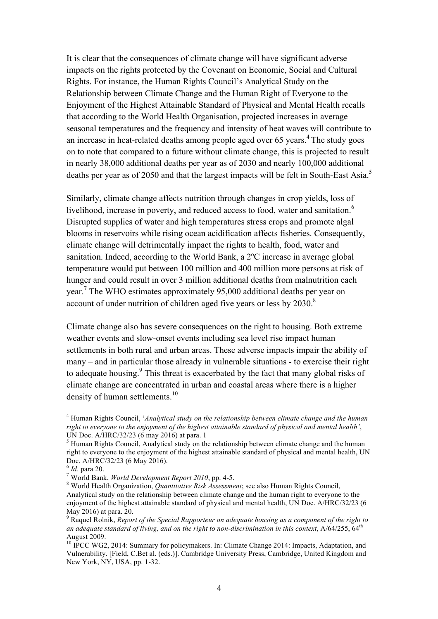It is clear that the consequences of climate change will have significant adverse impacts on the rights protected by the Covenant on Economic, Social and Cultural Rights. For instance, the Human Rights Council's Analytical Study on the Relationship between Climate Change and the Human Right of Everyone to the Enjoyment of the Highest Attainable Standard of Physical and Mental Health recalls that according to the World Health Organisation, projected increases in average seasonal temperatures and the frequency and intensity of heat waves will contribute to an increase in heat-related deaths among people aged over  $65$  years.<sup>4</sup> The study goes on to note that compared to a future without climate change, this is projected to result in nearly 38,000 additional deaths per year as of 2030 and nearly 100,000 additional deaths per year as of 2050 and that the largest impacts will be felt in South-East Asia.<sup>5</sup>

Similarly, climate change affects nutrition through changes in crop yields, loss of livelihood, increase in poverty, and reduced access to food, water and sanitation.<sup>6</sup> Disrupted supplies of water and high temperatures stress crops and promote algal blooms in reservoirs while rising ocean acidification affects fisheries. Consequently, climate change will detrimentally impact the rights to health, food, water and sanitation. Indeed, according to the World Bank, a 2ºC increase in average global temperature would put between 100 million and 400 million more persons at risk of hunger and could result in over 3 million additional deaths from malnutrition each year.<sup>7</sup> The WHO estimates approximately 95,000 additional deaths per year on account of under nutrition of children aged five years or less by  $2030$ .<sup>8</sup>

Climate change also has severe consequences on the right to housing. Both extreme weather events and slow-onset events including sea level rise impact human settlements in both rural and urban areas. These adverse impacts impair the ability of many – and in particular those already in vulnerable situations - to exercise their right to adequate housing.<sup>9</sup> This threat is exacerbated by the fact that many global risks of climate change are concentrated in urban and coastal areas where there is a higher density of human settlements.<sup>10</sup>

 <sup>4</sup> Human Rights Council, '*Analytical study on the relationship between climate change and the human right to everyone to the enjoyment of the highest attainable standard of physical and mental health'*, UN Doc. A/HRC/32/23 (6 may 2016) at para. 1

 $<sup>5</sup>$  Human Rights Council, Analytical study on the relationship between climate change and the human</sup> right to everyone to the enjoyment of the highest attainable standard of physical and mental health, UN Doc. A/HRC/32/23 (6 May 2016).<br><sup>6</sup> Id. para 20.

<sup>&</sup>lt;sup>7</sup> World Bank, *World Development Report 2010*, pp. 4-5.<br><sup>8</sup> World Health Organization, *Quantitative Risk Assessment*; see also Human Rights Council, Analytical study on the relationship between climate change and the human right to everyone to the enjoyment of the highest attainable standard of physical and mental health, UN Doc. A/HRC/32/23 (6 May 2016) at para. 20.<br><sup>9</sup> Raquel Rolnik, *Report of the Special Rapporteur on adequate housing as a component of the right to* 

an adequate standard of living, and on the right to non-discrimination in this context, A/64/255, 64<sup>th</sup> August 2009.

<sup>&</sup>lt;sup>10</sup> IPCC WG2, 2014: Summary for policymakers. In: Climate Change 2014: Impacts, Adaptation, and Vulnerability. [Field, C.Bet al. (eds.)]. Cambridge University Press, Cambridge, United Kingdom and New York, NY, USA, pp. 1-32.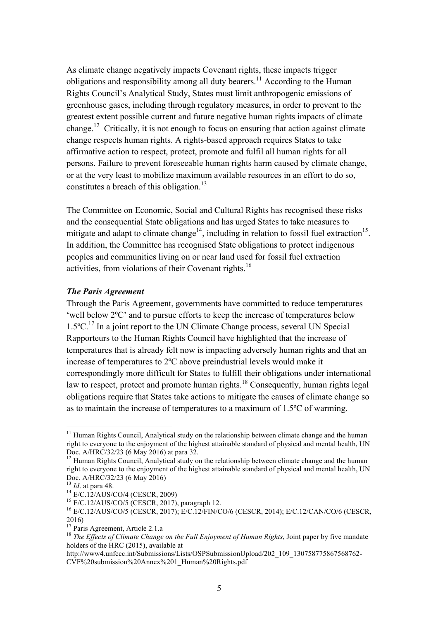As climate change negatively impacts Covenant rights, these impacts trigger obligations and responsibility among all duty bearers.<sup>11</sup> According to the Human Rights Council's Analytical Study, States must limit anthropogenic emissions of greenhouse gases, including through regulatory measures, in order to prevent to the greatest extent possible current and future negative human rights impacts of climate change.<sup>12</sup> Critically, it is not enough to focus on ensuring that action against climate change respects human rights. A rights-based approach requires States to take affirmative action to respect, protect, promote and fulfil all human rights for all persons. Failure to prevent foreseeable human rights harm caused by climate change, or at the very least to mobilize maximum available resources in an effort to do so, constitutes a breach of this obligation.<sup>13</sup>

The Committee on Economic, Social and Cultural Rights has recognised these risks and the consequential State obligations and has urged States to take measures to mitigate and adapt to climate change<sup>14</sup>, including in relation to fossil fuel extraction<sup>15</sup>. In addition, the Committee has recognised State obligations to protect indigenous peoples and communities living on or near land used for fossil fuel extraction activities, from violations of their Covenant rights.<sup>16</sup>

#### *The Paris Agreement*

Through the Paris Agreement, governments have committed to reduce temperatures 'well below 2ºC' and to pursue efforts to keep the increase of temperatures below  $1.5^{\circ}$ C.<sup>17</sup> In a joint report to the UN Climate Change process, several UN Special Rapporteurs to the Human Rights Council have highlighted that the increase of temperatures that is already felt now is impacting adversely human rights and that an increase of temperatures to 2ºC above preindustrial levels would make it correspondingly more difficult for States to fulfill their obligations under international law to respect, protect and promote human rights.<sup>18</sup> Consequently, human rights legal obligations require that States take actions to mitigate the causes of climate change so as to maintain the increase of temperatures to a maximum of 1.5ºC of warming.

 $11$  Human Rights Council, Analytical study on the relationship between climate change and the human right to everyone to the enjoyment of the highest attainable standard of physical and mental health, UN Doc. A/HRC/32/23 (6 May 2016) at para 32.

<sup>&</sup>lt;sup>12</sup> Human Rights Council, Analytical study on the relationship between climate change and the human right to everyone to the enjoyment of the highest attainable standard of physical and mental health, UN Doc. A/HRC/32/23 (6 May 2016)<br><sup>13</sup> Id. at para 48.

<sup>&</sup>lt;sup>14</sup> E/C.12/AUS/CO/4 (CESCR, 2009)<br><sup>15</sup> E/C.12/AUS/CO/5 (CESCR, 2017), paragraph 12.<br><sup>16</sup> E/C.12/AUS/CO/5 (CESCR, 2017); E/C.12/FIN/CO/6 (CESCR, 2014); E/C.12/CAN/CO/6 (CESCR,  $2016$ )<br><sup>17</sup> Paris Agreement, Article 2.1.a

<sup>&</sup>lt;sup>18</sup> The Effects of Climate Change on the Full Enjoyment of Human Rights, Joint paper by five mandate holders of the HRC (2015), available at

http://www4.unfccc.int/Submissions/Lists/OSPSubmissionUpload/202\_109\_130758775867568762-CVF%20submission%20Annex%201\_Human%20Rights.pdf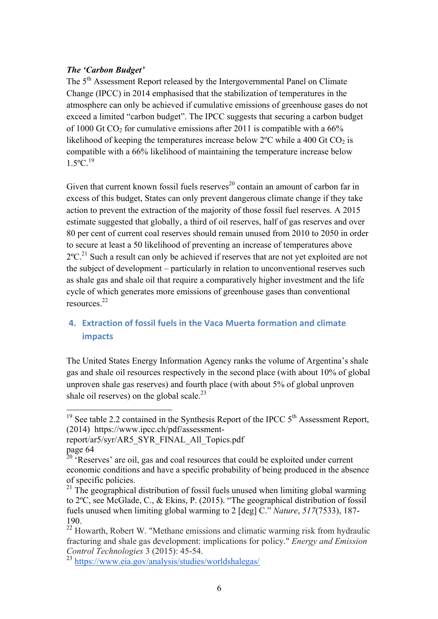## *The 'Carbon Budget'*

The 5<sup>th</sup> Assessment Report released by the Intergovernmental Panel on Climate Change (IPCC) in 2014 emphasised that the stabilization of temperatures in the atmosphere can only be achieved if cumulative emissions of greenhouse gases do not exceed a limited "carbon budget". The IPCC suggests that securing a carbon budget of 1000 Gt CO<sub>2</sub> for cumulative emissions after 2011 is compatible with a  $66\%$ likelihood of keeping the temperatures increase below  $2^{\circ}$ C while a 400 Gt CO<sub>2</sub> is compatible with a 66% likelihood of maintaining the temperature increase below  $1.5^{\circ}C^{19}$ 

Given that current known fossil fuels reserves<sup>20</sup> contain an amount of carbon far in excess of this budget, States can only prevent dangerous climate change if they take action to prevent the extraction of the majority of those fossil fuel reserves. A 2015 estimate suggested that globally, a third of oil reserves, half of gas reserves and over 80 per cent of current coal reserves should remain unused from 2010 to 2050 in order to secure at least a 50 likelihood of preventing an increase of temperatures above  $2^{\circ}$ C.<sup>21</sup> Such a result can only be achieved if reserves that are not yet exploited are not the subject of development – particularly in relation to unconventional reserves such as shale gas and shale oil that require a comparatively higher investment and the life cycle of which generates more emissions of greenhouse gases than conventional resources.22

## **4. Extraction of fossil fuels in the Vaca Muerta formation and climate impacts**

The United States Energy Information Agency ranks the volume of Argentina's shale gas and shale oil resources respectively in the second place (with about 10% of global unproven shale gas reserves) and fourth place (with about 5% of global unproven shale oil reserves) on the global scale.<sup>23</sup>

<sup>&</sup>lt;sup>19</sup> See table 2.2 contained in the Synthesis Report of the IPCC  $5<sup>th</sup>$  Assessment Report, (2014) https://www.ipcc.ch/pdf/assessment-

report/ar5/syr/AR5\_SYR\_FINAL\_All\_Topics.pdf page 64

 $20$  'Reserves' are oil, gas and coal resources that could be exploited under current economic conditions and have a specific probability of being produced in the absence of specific policies.

<sup>&</sup>lt;sup>21</sup> The geographical distribution of fossil fuels unused when limiting global warming to 2ºC, see McGlade, C., & Ekins, P. (2015). "The geographical distribution of fossil fuels unused when limiting global warming to 2 [deg] C." *Nature*, *517*(7533), 187- 190.<br><sup>22</sup> Howarth, Robert W. "Methane emissions and climatic warming risk from hydraulic

fracturing and shale gas development: implications for policy." *Energy and Emission Control Technologies* 3 (2015): 45-54.

<sup>23</sup> https://www.eia.gov/analysis/studies/worldshalegas/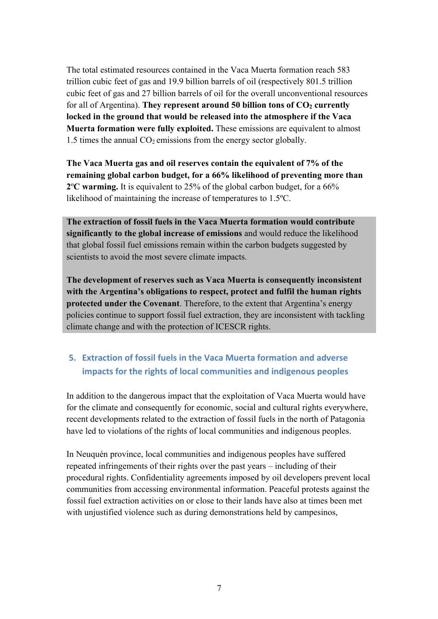The total estimated resources contained in the Vaca Muerta formation reach 583 trillion cubic feet of gas and 19.9 billion barrels of oil (respectively 801.5 trillion cubic feet of gas and 27 billion barrels of oil for the overall unconventional resources for all of Argentina). They represent around 50 billion tons of  $CO<sub>2</sub>$  currently **locked in the ground that would be released into the atmosphere if the Vaca Muerta formation were fully exploited.** These emissions are equivalent to almost 1.5 times the annual  $CO<sub>2</sub>$  emissions from the energy sector globally.

**The Vaca Muerta gas and oil reserves contain the equivalent of 7% of the remaining global carbon budget, for a 66% likelihood of preventing more than 2**º**C warming.** It is equivalent to 25% of the global carbon budget, for a 66% likelihood of maintaining the increase of temperatures to 1.5ºC.

**The extraction of fossil fuels in the Vaca Muerta formation would contribute significantly to the global increase of emissions** and would reduce the likelihood that global fossil fuel emissions remain within the carbon budgets suggested by scientists to avoid the most severe climate impacts.

**The development of reserves such as Vaca Muerta is consequently inconsistent with the Argentina's obligations to respect, protect and fulfil the human rights protected under the Covenant**. Therefore, to the extent that Argentina's energy policies continue to support fossil fuel extraction, they are inconsistent with tackling climate change and with the protection of ICESCR rights.

## **5. Extraction of fossil fuels in the Vaca Muerta formation and adverse** impacts for the rights of local communities and indigenous peoples

In addition to the dangerous impact that the exploitation of Vaca Muerta would have for the climate and consequently for economic, social and cultural rights everywhere, recent developments related to the extraction of fossil fuels in the north of Patagonia have led to violations of the rights of local communities and indigenous peoples.

In Neuquén province, local communities and indigenous peoples have suffered repeated infringements of their rights over the past years – including of their procedural rights. Confidentiality agreements imposed by oil developers prevent local communities from accessing environmental information. Peaceful protests against the fossil fuel extraction activities on or close to their lands have also at times been met with unjustified violence such as during demonstrations held by campesinos,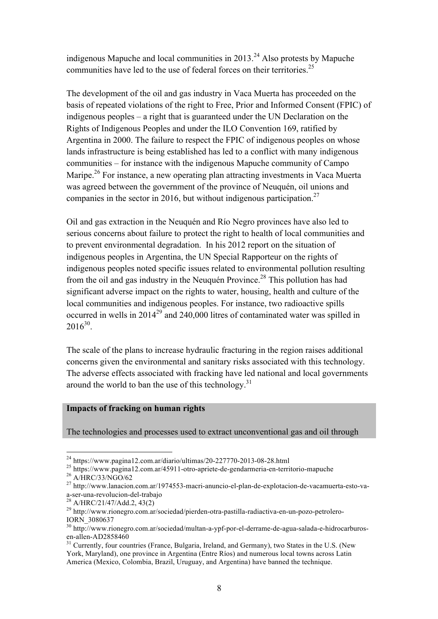indigenous Mapuche and local communities in  $2013.<sup>24</sup>$  Also protests by Mapuche communities have led to the use of federal forces on their territories.<sup>25</sup>

The development of the oil and gas industry in Vaca Muerta has proceeded on the basis of repeated violations of the right to Free, Prior and Informed Consent (FPIC) of indigenous peoples – a right that is guaranteed under the UN Declaration on the Rights of Indigenous Peoples and under the ILO Convention 169, ratified by Argentina in 2000. The failure to respect the FPIC of indigenous peoples on whose lands infrastructure is being established has led to a conflict with many indigenous communities – for instance with the indigenous Mapuche community of Campo Maripe.<sup>26</sup> For instance, a new operating plan attracting investments in Vaca Muerta was agreed between the government of the province of Neuquén, oil unions and companies in the sector in 2016, but without indigenous participation.<sup>27</sup>

Oil and gas extraction in the Neuquén and Río Negro provinces have also led to serious concerns about failure to protect the right to health of local communities and to prevent environmental degradation. In his 2012 report on the situation of indigenous peoples in Argentina, the UN Special Rapporteur on the rights of indigenous peoples noted specific issues related to environmental pollution resulting from the oil and gas industry in the Neuquén Province.<sup>28</sup> This pollution has had significant adverse impact on the rights to water, housing, health and culture of the local communities and indigenous peoples. For instance, two radioactive spills occurred in wells in 201429 and 240,000 litres of contaminated water was spilled in  $2016^{30}$ 

The scale of the plans to increase hydraulic fracturing in the region raises additional concerns given the environmental and sanitary risks associated with this technology. The adverse effects associated with fracking have led national and local governments around the world to ban the use of this technology. $31$ 

## **Impacts of fracking on human rights**

The technologies and processes used to extract unconventional gas and oil through

<sup>&</sup>lt;sup>24</sup> https://www.pagina12.com.ar/diario/ultimas/20-227770-2013-08-28.html<br><sup>25</sup> https://www.pagina12.com.ar/45911-otro-apriete-de-gendarmeria-en-territorio-mapuche<br><sup>26</sup> A/HRC/33/NGO/62<br><sup>27</sup> http://www.lanacion.com.ar/19745

<sup>&</sup>lt;sup>28</sup> A/HRC/21/47/Add.2, 43(2)<br><sup>29</sup> http://www.rionegro.com.ar/sociedad/pierden-otra-pastilla-radiactiva-en-un-pozo-petrolero-IORN\_3080637

<sup>30</sup> http://www.rionegro.com.ar/sociedad/multan-a-ypf-por-el-derrame-de-agua-salada-e-hidrocarburosen-allen-AD2858460<br><sup>31</sup> Currently, four countries (France, Bulgaria, Ireland, and Germany), two States in the U.S. (New

York, Maryland), one province in Argentina (Entre Ríos) and numerous local towns across Latin America (Mexico, Colombia, Brazil, Uruguay, and Argentina) have banned the technique.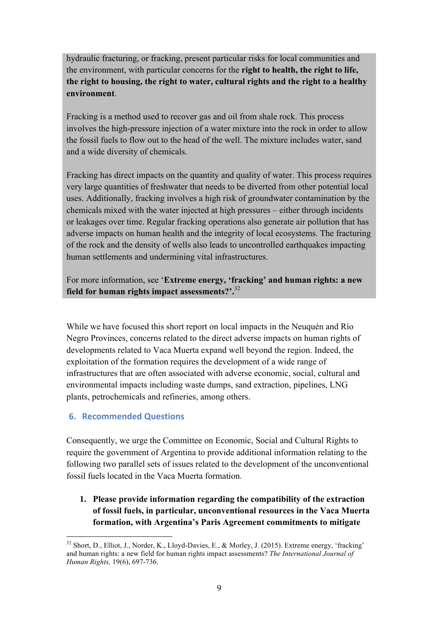hydraulic fracturing, or fracking, present particular risks for local communities and the environment, with particular concerns for the **right to health, the right to life, the right to housing, the right to water, cultural rights and the right to a healthy environment**.

Fracking is a method used to recover gas and oil from shale rock. This process involves the high-pressure injection of a water mixture into the rock in order to allow the fossil fuels to flow out to the head of the well. The mixture includes water, sand and a wide diversity of chemicals.

Fracking has direct impacts on the quantity and quality of water. This process requires very large quantities of freshwater that needs to be diverted from other potential local uses. Additionally, fracking involves a high risk of groundwater contamination by the chemicals mixed with the water injected at high pressures – either through incidents or leakages over time. Regular fracking operations also generate air pollution that has adverse impacts on human health and the integrity of local ecosystems. The fracturing of the rock and the density of wells also leads to uncontrolled earthquakes impacting human settlements and undermining vital infrastructures.

For more information, see '**Extreme energy, 'fracking' and human rights: a new field for human rights impact assessments?'.**<sup>32</sup>

While we have focused this short report on local impacts in the Neuquén and Río Negro Provinces, concerns related to the direct adverse impacts on human rights of developments related to Vaca Muerta expand well beyond the region. Indeed, the exploitation of the formation requires the development of a wide range of infrastructures that are often associated with adverse economic, social, cultural and environmental impacts including waste dumps, sand extraction, pipelines, LNG plants, petrochemicals and refineries, among others.

## **6. Recommended Questions**

Consequently, we urge the Committee on Economic, Social and Cultural Rights to require the government of Argentina to provide additional information relating to the following two parallel sets of issues related to the development of the unconventional fossil fuels located in the Vaca Muerta formation.

**1. Please provide information regarding the compatibility of the extraction of fossil fuels, in particular, unconventional resources in the Vaca Muerta formation, with Argentina's Paris Agreement commitments to mitigate** 

<sup>&</sup>lt;sup>32</sup> Short, D., Elliot, J., Norder, K., Lloyd-Davies, E., & Morley, J. (2015). Extreme energy, 'fracking' and human rights: a new field for human rights impact assessments? *The International Journal of Human Rights,* 19(6), 697-736.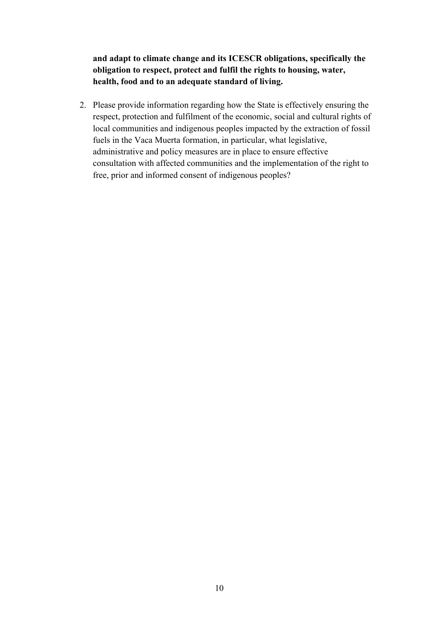**and adapt to climate change and its ICESCR obligations, specifically the obligation to respect, protect and fulfil the rights to housing, water, health, food and to an adequate standard of living.**

2. Please provide information regarding how the State is effectively ensuring the respect, protection and fulfilment of the economic, social and cultural rights of local communities and indigenous peoples impacted by the extraction of fossil fuels in the Vaca Muerta formation, in particular, what legislative, administrative and policy measures are in place to ensure effective consultation with affected communities and the implementation of the right to free, prior and informed consent of indigenous peoples?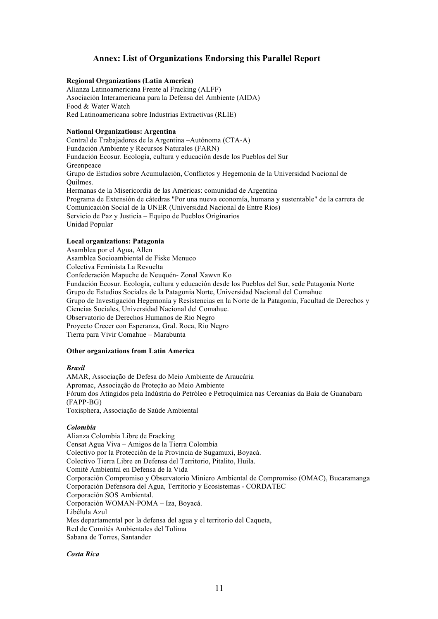### **Annex: List of Organizations Endorsing this Parallel Report**

#### **Regional Organizations (Latin America)**

Alianza Latinoamericana Frente al Fracking (ALFF) Asociación Interamericana para la Defensa del Ambiente (AIDA) Food & Water Watch Red Latinoamericana sobre Industrias Extractivas (RLIE)

#### **National Organizations: Argentina**

Central de Trabajadores de la Argentina –Autónoma (CTA-A) Fundación Ambiente y Recursos Naturales (FARN) Fundación Ecosur. Ecología, cultura y educación desde los Pueblos del Sur Greenpeace Grupo de Estudios sobre Acumulación, Conflictos y Hegemonía de la Universidad Nacional de Quilmes. Hermanas de la Misericordia de las Américas: comunidad de Argentina Programa de Extensión de cátedras "Por una nueva economía, humana y sustentable" de la carrera de Comunicación Social de la UNER (Universidad Nacional de Entre Ríos) Servicio de Paz y Justicia – Equipo de Pueblos Originarios Unidad Popular

#### **Local organizations: Patagonia**

Asamblea por el Agua, Allen Asamblea Socioambiental de Fiske Menuco Colectiva Feminista La Revuelta Confederación Mapuche de Neuquén- Zonal Xawvn Ko Fundación Ecosur. Ecología, cultura y educación desde los Pueblos del Sur, sede Patagonia Norte Grupo de Estudios Sociales de la Patagonia Norte, Universidad Nacional del Comahue Grupo de Investigación Hegemonía y Resistencias en la Norte de la Patagonia, Facultad de Derechos y Ciencias Sociales, Universidad Nacional del Comahue. Observatorio de Derechos Humanos de Rio Negro Proyecto Crecer con Esperanza, Gral. Roca, Rio Negro Tierra para Vivir Comahue – Marabunta

#### **Other organizations from Latin America**

#### *Brasil*

AMAR, Associação de Defesa do Meio Ambiente de Araucária Apromac, Associação de Proteção ao Meio Ambiente Fórum dos Atingidos pela Indústria do Petróleo e Petroquímica nas Cercanias da Baía de Guanabara (FAPP-BG) Toxisphera, Associação de Saúde Ambiental

#### *Colombia*

Alianza Colombia Libre de Fracking Censat Agua Viva – Amigos de la Tierra Colombia Colectivo por la Protección de la Provincia de Sugamuxi, Boyacá. Colectivo Tierra Libre en Defensa del Territorio, Pitalito, Huila. Comité Ambiental en Defensa de la Vida Corporación Compromiso y Observatorio Miniero Ambiental de Compromiso (OMAC), Bucaramanga Corporación Defensora del Agua, Territorio y Ecosistemas - CORDATEC Corporación SOS Ambiental. Corporación WOMAN-POMA – Iza, Boyacá. Libélula Azul Mes departamental por la defensa del agua y el territorio del Caqueta, Red de Comités Ambientales del Tolima Sabana de Torres, Santander

#### *Costa Rica*